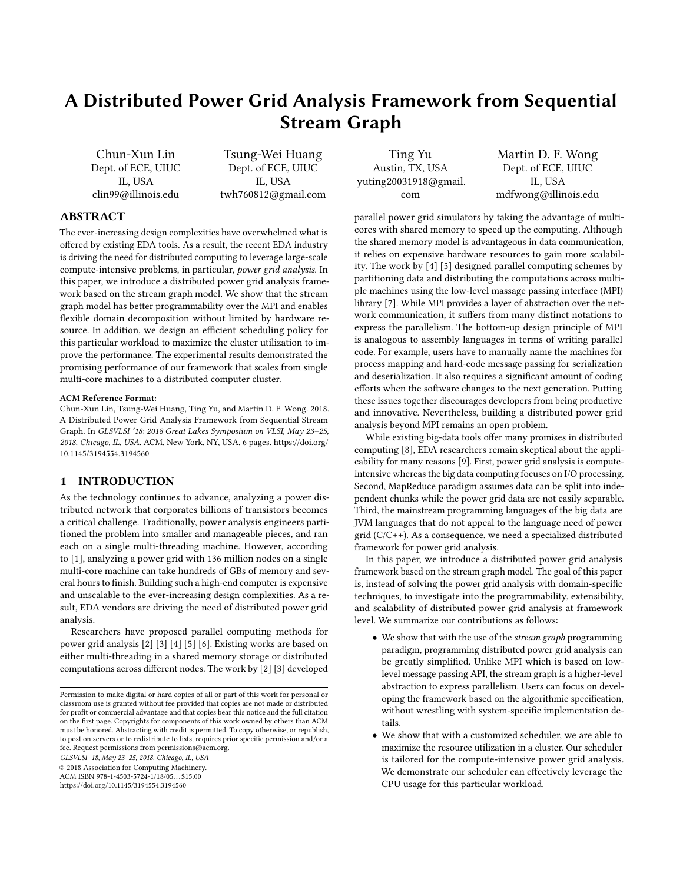# A Distributed Power Grid Analysis Framework from Sequential Stream Graph

Chun-Xun Lin Dept. of ECE, UIUC IL, USA clin99@illinois.edu

Tsung-Wei Huang Dept. of ECE, UIUC IL, USA twh760812@gmail.com

Ting Yu Austin, TX, USA yuting20031918@gmail. com

Martin D. F. Wong Dept. of ECE, UIUC IL, USA mdfwong@illinois.edu

## ABSTRACT

The ever-increasing design complexities have overwhelmed what is offered by existing EDA tools. As a result, the recent EDA industry is driving the need for distributed computing to leverage large-scale compute-intensive problems, in particular, power grid analysis. In this paper, we introduce a distributed power grid analysis framework based on the stream graph model. We show that the stream graph model has better programmability over the MPI and enables flexible domain decomposition without limited by hardware resource. In addition, we design an efficient scheduling policy for this particular workload to maximize the cluster utilization to improve the performance. The experimental results demonstrated the promising performance of our framework that scales from single multi-core machines to a distributed computer cluster.

#### ACM Reference Format:

Chun-Xun Lin, Tsung-Wei Huang, Ting Yu, and Martin D. F. Wong. 2018. A Distributed Power Grid Analysis Framework from Sequential Stream Graph. In GLSVLSI '18: 2018 Great Lakes Symposium on VLSI, May 23–25, 2018, Chicago, IL, USA. ACM, New York, NY, USA, [6](#page-5-0) pages. [https://doi.org/](https://doi.org/10.1145/3194554.3194560) [10.1145/3194554.3194560](https://doi.org/10.1145/3194554.3194560)

## 1 INTRODUCTION

As the technology continues to advance, analyzing a power distributed network that corporates billions of transistors becomes a critical challenge. Traditionally, power analysis engineers partitioned the problem into smaller and manageable pieces, and ran each on a single multi-threading machine. However, according to [\[1\]](#page-5-1), analyzing a power grid with 136 million nodes on a single multi-core machine can take hundreds of GBs of memory and several hours to finish. Building such a high-end computer is expensive and unscalable to the ever-increasing design complexities. As a result, EDA vendors are driving the need of distributed power grid analysis.

Researchers have proposed parallel computing methods for power grid analysis [\[2\]](#page-5-2) [\[3\]](#page-5-3) [\[4\]](#page-5-4) [\[5\]](#page-5-5) [\[6\]](#page-5-6). Existing works are based on either multi-threading in a shared memory storage or distributed computations across different nodes. The work by [\[2\]](#page-5-2) [\[3\]](#page-5-3) developed

GLSVLSI '18, May 23–25, 2018, Chicago, IL, USA

© 2018 Association for Computing Machinery.

ACM ISBN 978-1-4503-5724-1/18/05. . . \$15.00

<https://doi.org/10.1145/3194554.3194560>

parallel power grid simulators by taking the advantage of multicores with shared memory to speed up the computing. Although the shared memory model is advantageous in data communication, it relies on expensive hardware resources to gain more scalability. The work by [\[4\]](#page-5-4) [\[5\]](#page-5-5) designed parallel computing schemes by partitioning data and distributing the computations across multiple machines using the low-level massage passing interface (MPI) library [\[7\]](#page-5-7). While MPI provides a layer of abstraction over the network communication, it suffers from many distinct notations to express the parallelism. The bottom-up design principle of MPI is analogous to assembly languages in terms of writing parallel code. For example, users have to manually name the machines for process mapping and hard-code message passing for serialization and deserialization. It also requires a significant amount of coding efforts when the software changes to the next generation. Putting these issues together discourages developers from being productive and innovative. Nevertheless, building a distributed power grid analysis beyond MPI remains an open problem.

While existing big-data tools offer many promises in distributed computing [\[8\]](#page-5-8), EDA researchers remain skeptical about the applicability for many reasons [\[9\]](#page-5-9). First, power grid analysis is computeintensive whereas the big data computing focuses on I/O processing. Second, MapReduce paradigm assumes data can be split into independent chunks while the power grid data are not easily separable. Third, the mainstream programming languages of the big data are JVM languages that do not appeal to the language need of power grid  $(C/C++)$ . As a consequence, we need a specialized distributed framework for power grid analysis.

In this paper, we introduce a distributed power grid analysis framework based on the stream graph model. The goal of this paper is, instead of solving the power grid analysis with domain-specific techniques, to investigate into the programmability, extensibility, and scalability of distributed power grid analysis at framework level. We summarize our contributions as follows:

- We show that with the use of the stream graph programming paradigm, programming distributed power grid analysis can be greatly simplified. Unlike MPI which is based on lowlevel message passing API, the stream graph is a higher-level abstraction to express parallelism. Users can focus on developing the framework based on the algorithmic specification, without wrestling with system-specific implementation details.
- We show that with a customized scheduler, we are able to maximize the resource utilization in a cluster. Our scheduler is tailored for the compute-intensive power grid analysis. We demonstrate our scheduler can effectively leverage the CPU usage for this particular workload.

Permission to make digital or hard copies of all or part of this work for personal or classroom use is granted without fee provided that copies are not made or distributed for profit or commercial advantage and that copies bear this notice and the full citation on the first page. Copyrights for components of this work owned by others than ACM must be honored. Abstracting with credit is permitted. To copy otherwise, or republish, to post on servers or to redistribute to lists, requires prior specific permission and/or a fee. Request permissions from permissions@acm.org.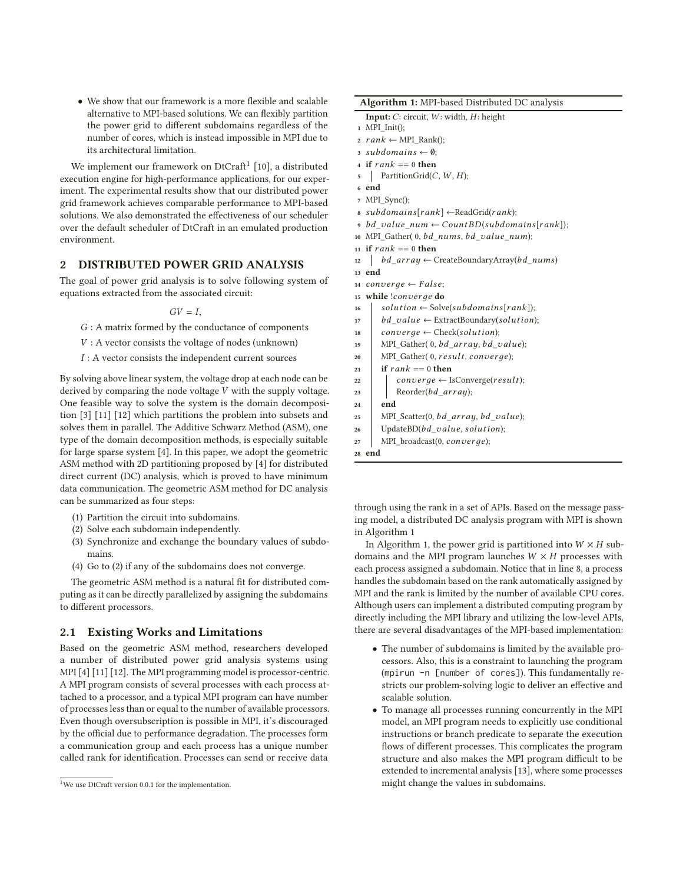• We show that our framework is a more flexible and scalable alternative to MPI-based solutions. We can flexibly partition the power grid to different subdomains regardless of the number of cores, which is instead impossible in MPI due to its architectural limitation.

We implement our framework on  $DtCraft<sup>1</sup>$  $DtCraft<sup>1</sup>$  $DtCraft<sup>1</sup>$  [\[10\]](#page-5-10), a distributed execution engine for high-performance applications, for our experiment. The experimental results show that our distributed power grid framework achieves comparable performance to MPI-based solutions. We also demonstrated the effectiveness of our scheduler over the default scheduler of DtCraft in an emulated production environment.

## **2 DISTRIBUTED POWER GRID ANALYSIS**

The goal of power grid analysis is to solve following system of equations extracted from the associated circuit:

#### $GV = I$ ,

- G : A matrix formed by the conductance of components
- V : A vector consists the voltage of nodes (unknown)
- I : A vector consists the independent current sources

By solving above linear system, the voltage drop at each node can be derived by comparing the node voltage V with the supply voltage. One feasible way to solve the system is the domain decomposition [\[3\]](#page-5-3) [\[11\]](#page-5-11) [\[12\]](#page-5-12) which partitions the problem into subsets and solves them in parallel. The Additive Schwarz Method (ASM), one type of the domain decomposition methods, is especially suitable for large sparse system [\[4\]](#page-5-4). In this paper, we adopt the geometric ASM method with 2D partitioning proposed by [\[4\]](#page-5-4) for distributed direct current (DC) analysis, which is proved to have minimum data communication. The geometric ASM method for DC analysis can be summarized as four steps:

- (1) Partition the circuit into subdomains.
- (2) Solve each subdomain independently.
- (3) Synchronize and exchange the boundary values of subdomains.
- (4) Go to (2) if any of the subdomains does not converge.

The geometric ASM method is a natural fit for distributed computing as it can be directly parallelized by assigning the subdomains to different processors.

#### **2.1 Existing Works and Limitations**

Based on the geometric ASM method, researchers developed a number of distributed power grid analysis systems using MPI [\[4\]](#page-5-4) [\[11\]](#page-5-11) [\[12\]](#page-5-12). The MPI programming model is processor-centric. A MPI program consists of several processes with each process attached to a processor, and a typical MPI program can have number of processes less than or equal to the number of available processors. Even though oversubscription is possible in MPI, it's discouraged by the official due to performance degradation. The processes form a communication group and each process has a unique number called rank for identification. Processes can send or receive data

|  |  | Algorithm 1: MPI-based Distributed DC analysis |  |
|--|--|------------------------------------------------|--|
|--|--|------------------------------------------------|--|

<span id="page-1-1"></span>

| Input: $C$ : circuit, $W$ : width, $H$ : height |  |  |  |
|-------------------------------------------------|--|--|--|
|                                                 |  |  |  |

- **<sup>1</sup>** MPI\_Init();
- $2 \ \ rank \leftarrow \text{MPI\_Rank}$ <sub>()</sub>;
- $3 \text{ subdomains} \leftarrow \emptyset$
- **<sup>4</sup> if** rank == 0 **then**
- **5** PartitionGrid $(C, W, H)$ ;
- **<sup>6</sup> end**
- **<sup>7</sup>** MPI\_Sync();
- 8 subdomains $[rank] \leftarrow \text{ReadGrid}(rank);$
- **9** bd value  $num \leftarrow CountBD(subdomains[rank])$ ;
- 10 MPI\_Gather(  $0, bd\_nums, bd\_value\_num$ );
- 11 **if**  $rank == 0$  **then**
- 12  $\big|$  bd\_array  $\leftarrow$  CreateBoundaryArray(bd\_nums)

```
13 end
```
14  $converge \leftarrow False;$ 

**<sup>15</sup> while** !converдe **do**

- 16  $\vert$  solution  $\leftarrow$  Solve(subdomains[rank]);
- 17  $\big|$  bd\_value  $\leftarrow$  ExtractBoundary(solution);
- **18** converge  $\leftarrow$  Check(solution);<br>**19** MPI Gather(0. bd array. bd z
- **<sup>19</sup>** MPI\_Gather( 0, bd\_array, bd\_value);
- 20 MPI Gather( 0, result, converge);
- 21 **if** rank == 0 **then**
- 22 converge ← IsConverge(result);<br>
23 Reorder(bd arrau):
- **<sup>23</sup>** Reorder(bd\_array);
- **<sup>24</sup> end**
- $25$  MPI\_Scatter(0,  $bd\_array, bd\_value$ );
- 26 | UpdateBD(bd\_value, solution);
- **<sup>27</sup>** MPI\_broadcast(0, converдe);

**<sup>28</sup> end**

through using the rank in a set of APIs. Based on the message passing model, a distributed DC analysis program with MPI is shown in Algorithm [1](#page-1-1)

In Algorithm [1,](#page-1-1) the power grid is partitioned into  $W \times H$  subdomains and the MPI program launches  $W \times H$  processes with each process assigned a subdomain. Notice that in line 8, a process handles the subdomain based on the rank automatically assigned by MPI and the rank is limited by the number of available CPU cores. Although users can implement a distributed computing program by directly including the MPI library and utilizing the low-level APIs, there are several disadvantages of the MPI-based implementation:

- The number of subdomains is limited by the available processors. Also, this is a constraint to launching the program (mpirun -n [number of cores]). This fundamentally restricts our problem-solving logic to deliver an effective and scalable solution.
- To manage all processes running concurrently in the MPI model, an MPI program needs to explicitly use conditional instructions or branch predicate to separate the execution flows of different processes. This complicates the program structure and also makes the MPI program difficult to be extended to incremental analysis [\[13\]](#page-5-13), where some processes might change the values in subdomains.

<span id="page-1-0"></span> $^{1}\mathrm{We}$  use DtCraft version 0.0.1 for the implementation.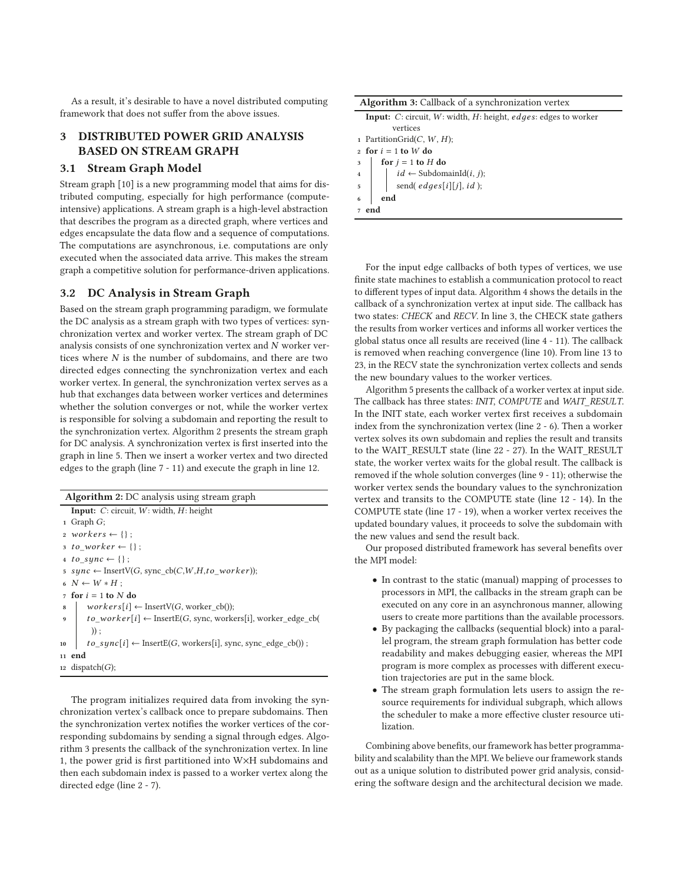As a result, it's desirable to have a novel distributed computing framework that does not suffer from the above issues.

# **3 DISTRIBUTED POWER GRID ANALYSIS BASED ON STREAM GRAPH**

## **3.1 Stream Graph Model**

Stream graph [\[10\]](#page-5-10) is a new programming model that aims for distributed computing, especially for high performance (computeintensive) applications. A stream graph is a high-level abstraction that describes the program as a directed graph, where vertices and edges encapsulate the data flow and a sequence of computations. The computations are asynchronous, i.e. computations are only executed when the associated data arrive. This makes the stream graph a competitive solution for performance-driven applications.

## **3.2 DC Analysis in Stream Graph**

Based on the stream graph programming paradigm, we formulate the DC analysis as a stream graph with two types of vertices: synchronization vertex and worker vertex. The stream graph of DC analysis consists of one synchronization vertex and N worker vertices where N is the number of subdomains, and there are two directed edges connecting the synchronization vertex and each worker vertex. In general, the synchronization vertex serves as a hub that exchanges data between worker vertices and determines whether the solution converges or not, while the worker vertex is responsible for solving a subdomain and reporting the result to the synchronization vertex. Algorithm [2](#page-2-0) presents the stream graph for DC analysis. A synchronization vertex is first inserted into the graph in line 5. Then we insert a worker vertex and two directed edges to the graph (line 7 - 11) and execute the graph in line 12.

<span id="page-2-0"></span>

|    | <b>Algorithm 2:</b> DC analysis using stream graph                              |
|----|---------------------------------------------------------------------------------|
|    | <b>Input:</b> $C$ : circuit, $W$ : width, $H$ : height                          |
|    | $1$ Graph $G$ ;                                                                 |
|    | 2 workers $\leftarrow \{\}$ ;                                                   |
|    | 3 to worker $\leftarrow \{\}$ ;                                                 |
|    | 4 to sunc $\leftarrow \{\}$ ;                                                   |
|    | $s \; sync \leftarrow \text{InsertV}(G, sync\_cb(C, W, H, to \text{ worker}));$ |
|    | $\delta N \leftarrow W * H$ :                                                   |
|    | 7 for $i = 1$ to N do                                                           |
| 8  | $works[i] \leftarrow InsertV(G, worker cb))$ ;                                  |
| 9  | to worker[i] $\leftarrow$ InsertE(G, sync, workers[i], worker edge cb(          |
|    | $))$ ;                                                                          |
| 10 | to sync[i] $\leftarrow$ InsertE(G, workers[i], sync, sync edge cb());           |
|    | 11 end                                                                          |
|    | 12 dispatch $(G)$ ;                                                             |

The program initializes required data from invoking the synchronization vertex's callback once to prepare subdomains. Then the synchronization vertex notifies the worker vertices of the corresponding subdomains by sending a signal through edges. Algorithm [3](#page-2-1) presents the callback of the synchronization vertex. In line 1, the power grid is first partitioned into W×H subdomains and then each subdomain index is passed to a worker vertex along the directed edge (line 2 - 7).

<span id="page-2-1"></span>

| <b>Algorithm 3:</b> Callback of a synchronization vertex                                                     |  |  |  |  |  |  |
|--------------------------------------------------------------------------------------------------------------|--|--|--|--|--|--|
| <b>Input:</b> $C$ : circuit, $W$ : width, $H$ : height, edges: edges to worker                               |  |  |  |  |  |  |
| vertices                                                                                                     |  |  |  |  |  |  |
| 1 PartitionGrid $(C, W, H)$ ;                                                                                |  |  |  |  |  |  |
| 2 for $i = 1$ to W do                                                                                        |  |  |  |  |  |  |
| for $j = 1$ to H do<br>3                                                                                     |  |  |  |  |  |  |
| $\overline{4}$                                                                                               |  |  |  |  |  |  |
| $id \leftarrow$ SubdomainId( <i>i</i> , <i>j</i> );<br>send( $edges[i][j], id$ );<br>$\overline{\mathbf{5}}$ |  |  |  |  |  |  |
| end<br>6                                                                                                     |  |  |  |  |  |  |
| end                                                                                                          |  |  |  |  |  |  |

For the input edge callbacks of both types of vertices, we use finite state machines to establish a communication protocol to react to different types of input data. Algorithm [4](#page-3-0) shows the details in the callback of a synchronization vertex at input side. The callback has two states: *CHECK* and *RECV*. In line 3, the CHECK state gathers the results from worker vertices and informs all worker vertices the global status once all results are received (line 4 - 11). The callback is removed when reaching convergence (line 10). From line 13 to 23, in the RECV state the synchronization vertex collects and sends the new boundary values to the worker vertices.

Algorithm [5](#page-3-1) presents the callback of a worker vertex at input side. The callback has three states: *INIT*, *COMPUTE* and *WAIT\_RESULT*. In the INIT state, each worker vertex first receives a subdomain index from the synchronization vertex (line 2 - 6). Then a worker vertex solves its own subdomain and replies the result and transits to the WAIT\_RESULT state (line 22 - 27). In the WAIT\_RESULT state, the worker vertex waits for the global result. The callback is removed if the whole solution converges (line 9 - 11); otherwise the worker vertex sends the boundary values to the synchronization vertex and transits to the COMPUTE state (line 12 - 14). In the COMPUTE state (line 17 - 19), when a worker vertex receives the updated boundary values, it proceeds to solve the subdomain with the new values and send the result back.

Our proposed distributed framework has several benefits over the MPI model:

- In contrast to the static (manual) mapping of processes to processors in MPI, the callbacks in the stream graph can be executed on any core in an asynchronous manner, allowing users to create more partitions than the available processors.
- By packaging the callbacks (sequential block) into a parallel program, the stream graph formulation has better code readability and makes debugging easier, whereas the MPI program is more complex as processes with different execution trajectories are put in the same block.
- The stream graph formulation lets users to assign the resource requirements for individual subgraph, which allows the scheduler to make a more effective cluster resource utilization.

Combining above benefits, our framework has better programmability and scalability than the MPI. We believe our framework stands out as a unique solution to distributed power grid analysis, considering the software design and the architectural decision we made.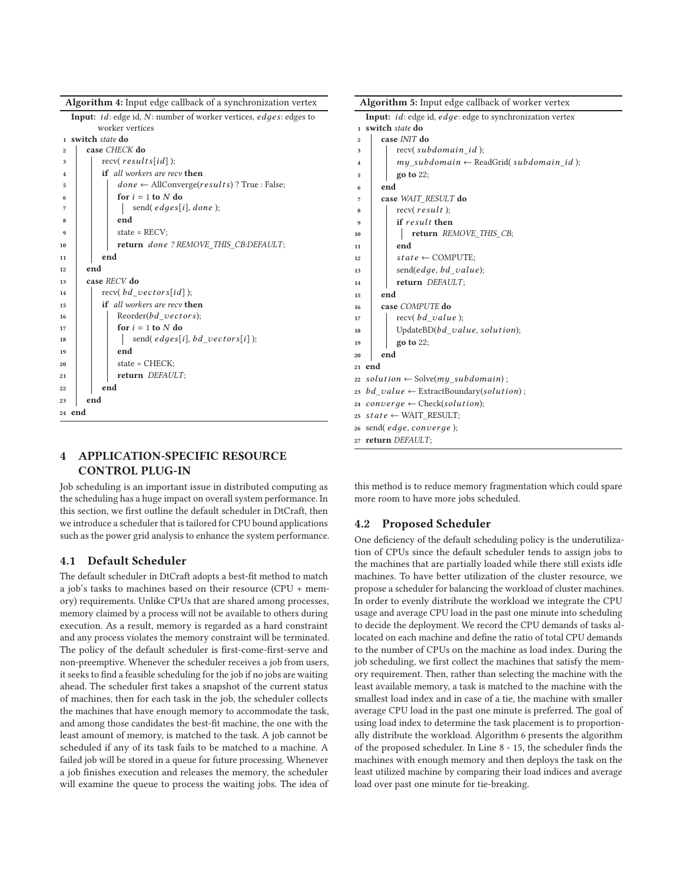<span id="page-3-0"></span>

|              |     | Algorithm 4: Input edge callback of a synchronization vertex      |
|--------------|-----|-------------------------------------------------------------------|
|              |     | Input: id: edge id, N: number of worker vertices, edges: edges to |
|              |     | worker vertices                                                   |
| 1            |     | switch state do                                                   |
| $\mathbf{2}$ |     | case CHECK do                                                     |
| 3            |     | recv( $results(id]$ );                                            |
| 4            |     | if all workers are recy then                                      |
| 5            |     | $done \leftarrow \text{AllConverge}(results)$ ? True : False;     |
| 6            |     | for $i = 1$ to $N$ do                                             |
| 7            |     | send( $edges[i], done$ );                                         |
| 8            |     | end                                                               |
| 9            |     | state = $RECV;$                                                   |
| 10           |     | return done ? REMOVE_THIS_CB:DEFAULT;                             |
| 11           | end |                                                                   |
| 12           | end |                                                                   |
| 13           |     | case RECV do                                                      |
| 14           |     | recv( bd vectors[id]);                                            |
| 15           |     | <b>if</b> all workers are recy <b>then</b>                        |
| 16           |     | $Reorder(bd \, vectors);$                                         |
| 17           |     | for $i = 1$ to N do                                               |
| 18           |     | send( $edges[i], bd \, vectors[i]$ );                             |
| 19           |     | end                                                               |
| 20           |     | state = $CHECK$ ;                                                 |
| 21           |     | return DEFAULT;                                                   |
| 22           | end |                                                                   |
| 23           | end |                                                                   |
| 24 end       |     |                                                                   |

## **4 APPLICATION-SPECIFIC RESOURCE CONTROL PLUG-IN**

Job scheduling is an important issue in distributed computing as the scheduling has a huge impact on overall system performance. In this section, we first outline the default scheduler in DtCraft, then we introduce a scheduler that is tailored for CPU bound applications such as the power grid analysis to enhance the system performance.

## **4.1 Default Scheduler**

The default scheduler in DtCraft adopts a best-fit method to match a job's tasks to machines based on their resource (CPU + memory) requirements. Unlike CPUs that are shared among processes, memory claimed by a process will not be available to others during execution. As a result, memory is regarded as a hard constraint and any process violates the memory constraint will be terminated. The policy of the default scheduler is first-come-first-serve and non-preemptive. Whenever the scheduler receives a job from users, it seeks to find a feasible scheduling for the job if no jobs are waiting ahead. The scheduler first takes a snapshot of the current status of machines, then for each task in the job, the scheduler collects the machines that have enough memory to accommodate the task, and among those candidates the best-fit machine, the one with the least amount of memory, is matched to the task. A job cannot be scheduled if any of its task fails to be matched to a machine. A failed job will be stored in a queue for future processing. Whenever a job finishes execution and releases the memory, the scheduler will examine the queue to process the waiting jobs. The idea of

<span id="page-3-1"></span>

|                | Algorithm 5: Input edge callback of worker vertex        |
|----------------|----------------------------------------------------------|
|                | Input: id: edge id, edge: edge to synchronization vertex |
| $\mathbf{1}$   | switch state do                                          |
| $\overline{2}$ | case <i>INIT</i> do                                      |
| 3              | recv(subdomain id);                                      |
| 4              | $my\_subdomain \leftarrow ReadGrid(subdomain_id);$       |
| 5              | go to 22;                                                |
| 6              | end                                                      |
| 7              | case WAIT_RESULT do                                      |
| 8              | recy( $result$ );                                        |
| 9              | if result then                                           |
| 10             | return REMOVE THIS CB;                                   |
| 11             | end                                                      |
| 12             | $state \leftarrow \text{COMPUTE};$                       |
| 13             | send $(edge, bd$ value);                                 |
| 14             | return DEFAULT;                                          |
| 15             | end                                                      |
| 16             | case COMPUTE do                                          |
| 17             | recv( $bd\_value$ );                                     |
| 18             | UpdateBD $(bd$ value, solution);                         |
| 19             | go to 22;                                                |
| 20             | end                                                      |
|                | 21 end                                                   |
| 22             | $solution \leftarrow Solve(my\_subdomain);$              |
| 23             | bd value $\leftarrow$ ExtractBoundary(solution);         |
|                | 24 converge $\leftarrow$ Check(solution);                |
|                | 25 state $\leftarrow$ WAIT RESULT;                       |
|                | $26 \text{ send}(edge, converge);$                       |
|                | 27 return DEFAULT;                                       |

<span id="page-3-2"></span>this method is to reduce memory fragmentation which could spare more room to have more jobs scheduled.

## **4.2 Proposed Scheduler**

One deficiency of the default scheduling policy is the underutilization of CPUs since the default scheduler tends to assign jobs to the machines that are partially loaded while there still exists idle machines. To have better utilization of the cluster resource, we propose a scheduler for balancing the workload of cluster machines. In order to evenly distribute the workload we integrate the CPU usage and average CPU load in the past one minute into scheduling to decide the deployment. We record the CPU demands of tasks allocated on each machine and define the ratio of total CPU demands to the number of CPUs on the machine as load index. During the job scheduling, we first collect the machines that satisfy the memory requirement. Then, rather than selecting the machine with the least available memory, a task is matched to the machine with the smallest load index and in case of a tie, the machine with smaller average CPU load in the past one minute is preferred. The goal of using load index to determine the task placement is to proportionally distribute the workload. Algorithm [6](#page-4-0) presents the algorithm of the proposed scheduler. In Line 8 - 15, the scheduler finds the machines with enough memory and then deploys the task on the least utilized machine by comparing their load indices and average load over past one minute for tie-breaking.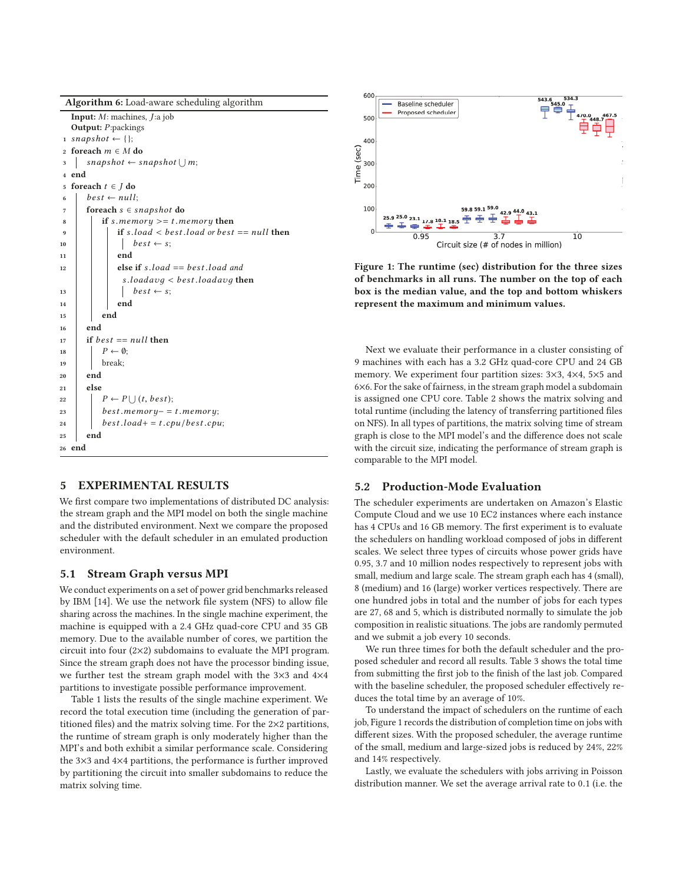```
Algorithm 6: Load-aware scheduling algorithm
  Input: M: machines, J:a job
  Output: P:packings
1 snapshot \leftarrow \{\};
2 foreach m \in M do<br>3 snapshot \leftarrow sx
 3 \vert snapshot \leftarrow snapshot \cup m;
4 end
5 foreach t ∈ J do
6 \quad best \leftarrow null;7 foreach s ∈ snapshot do
8 if s. memory >= t. memory then
             9 if s .load < best.load or best == null then
10 best \leftarrow s;
11 end
12 else if s .load == best.load and
               s .loadavд < best.loadavд then
13 best \leftarrow s;
14 end
15 end
16 end
\mathbf{17} if best = null then
18 P \leftarrow \emptyset;19 break;
20 end
21 else
22 \mid P \leftarrow P \cup (t, best);23 best.memory− = t.memory;
24 best.load + = t.cpu/best.cpu;
25 end
26 end
```
## **5 EXPERIMENTAL RESULTS**

We first compare two implementations of distributed DC analysis: the stream graph and the MPI model on both the single machine and the distributed environment. Next we compare the proposed scheduler with the default scheduler in an emulated production environment.

#### **5.1 Stream Graph versus MPI**

We conduct experiments on a set of power grid benchmarks released by IBM [\[14\]](#page-5-14). We use the network file system (NFS) to allow file sharing across the machines. In the single machine experiment, the machine is equipped with a 2.4 GHz quad-core CPU and 35 GB memory. Due to the available number of cores, we partition the circuit into four (2×2) subdomains to evaluate the MPI program. Since the stream graph does not have the processor binding issue, we further test the stream graph model with the 3×3 and 4×4 partitions to investigate possible performance improvement.

Table [1](#page-5-15) lists the results of the single machine experiment. We record the total execution time (including the generation of partitioned files) and the matrix solving time. For the 2×2 partitions, the runtime of stream graph is only moderately higher than the MPI's and both exhibit a similar performance scale. Considering the 3×3 and 4×4 partitions, the performance is further improved by partitioning the circuit into smaller subdomains to reduce the matrix solving time.

<span id="page-4-1"></span>

**Figure 1: The runtime (sec) distribution for the three sizes of benchmarks in all runs. The number on the top of each box is the median value, and the top and bottom whiskers represent the maximum and minimum values.**

Next we evaluate their performance in a cluster consisting of 9 machines with each has a 3.2 GHz quad-core CPU and 24 GB memory. We experiment four partition sizes: 3×3, 4×4, 5×5 and 6×6. For the sake of fairness, in the stream graph model a subdomain is assigned one CPU core. Table [2](#page-5-16) shows the matrix solving and total runtime (including the latency of transferring partitioned files on NFS). In all types of partitions, the matrix solving time of stream graph is close to the MPI model's and the difference does not scale with the circuit size, indicating the performance of stream graph is comparable to the MPI model.

#### **5.2 Production-Mode Evaluation**

The scheduler experiments are undertaken on Amazon's Elastic Compute Cloud and we use 10 EC2 instances where each instance has 4 CPUs and 16 GB memory. The first experiment is to evaluate the schedulers on handling workload composed of jobs in different scales. We select three types of circuits whose power grids have 0.95, 3.7 and 10 million nodes respectively to represent jobs with small, medium and large scale. The stream graph each has 4 (small), 8 (medium) and 16 (large) worker vertices respectively. There are one hundred jobs in total and the number of jobs for each types are 27, 68 and 5, which is distributed normally to simulate the job composition in realistic situations. The jobs are randomly permuted and we submit a job every 10 seconds.

We run three times for both the default scheduler and the proposed scheduler and record all results. Table [3](#page-5-17) shows the total time from submitting the first job to the finish of the last job. Compared with the baseline scheduler, the proposed scheduler effectively reduces the total time by an average of 10%.

To understand the impact of schedulers on the runtime of each job, Figure [1](#page-4-1) records the distribution of completion time on jobs with different sizes. With the proposed scheduler, the average runtime of the small, medium and large-sized jobs is reduced by 24%, 22% and 14% respectively.

Lastly, we evaluate the schedulers with jobs arriving in Poisson distribution manner. We set the average arrival rate to 0.1 (i.e. the